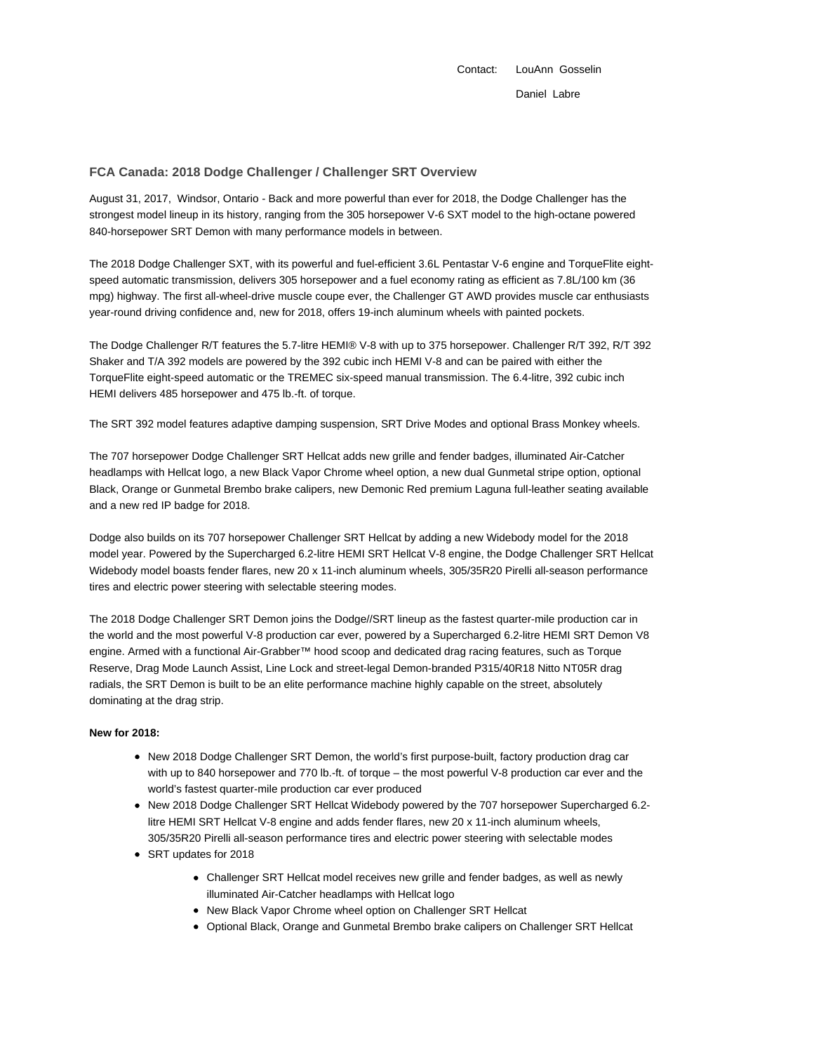Contact: LouAnn Gosselin Daniel Labre

# **FCA Canada: 2018 Dodge Challenger / Challenger SRT Overview**

August 31, 2017, Windsor, Ontario - Back and more powerful than ever for 2018, the Dodge Challenger has the strongest model lineup in its history, ranging from the 305 horsepower V-6 SXT model to the high-octane powered 840-horsepower SRT Demon with many performance models in between.

The 2018 Dodge Challenger SXT, with its powerful and fuel-efficient 3.6L Pentastar V-6 engine and TorqueFlite eightspeed automatic transmission, delivers 305 horsepower and a fuel economy rating as efficient as 7.8L/100 km (36 mpg) highway. The first all-wheel-drive muscle coupe ever, the Challenger GT AWD provides muscle car enthusiasts year-round driving confidence and, new for 2018, offers 19-inch aluminum wheels with painted pockets.

The Dodge Challenger R/T features the 5.7-litre HEMI® V-8 with up to 375 horsepower. Challenger R/T 392, R/T 392 Shaker and T/A 392 models are powered by the 392 cubic inch HEMI V-8 and can be paired with either the TorqueFlite eight-speed automatic or the TREMEC six-speed manual transmission. The 6.4-litre, 392 cubic inch HEMI delivers 485 horsepower and 475 lb.-ft. of torque.

The SRT 392 model features adaptive damping suspension, SRT Drive Modes and optional Brass Monkey wheels.

The 707 horsepower Dodge Challenger SRT Hellcat adds new grille and fender badges, illuminated Air-Catcher headlamps with Hellcat logo, a new Black Vapor Chrome wheel option, a new dual Gunmetal stripe option, optional Black, Orange or Gunmetal Brembo brake calipers, new Demonic Red premium Laguna full-leather seating available and a new red IP badge for 2018.

Dodge also builds on its 707 horsepower Challenger SRT Hellcat by adding a new Widebody model for the 2018 model year. Powered by the Supercharged 6.2-litre HEMI SRT Hellcat V-8 engine, the Dodge Challenger SRT Hellcat Widebody model boasts fender flares, new 20 x 11-inch aluminum wheels, 305/35R20 Pirelli all-season performance tires and electric power steering with selectable steering modes.

The 2018 Dodge Challenger SRT Demon joins the Dodge//SRT lineup as the fastest quarter-mile production car in the world and the most powerful V-8 production car ever, powered by a Supercharged 6.2-litre HEMI SRT Demon V8 engine. Armed with a functional Air-Grabber™ hood scoop and dedicated drag racing features, such as Torque Reserve, Drag Mode Launch Assist, Line Lock and street-legal Demon-branded P315/40R18 Nitto NT05R drag radials, the SRT Demon is built to be an elite performance machine highly capable on the street, absolutely dominating at the drag strip.

## **New for 2018:**

- New 2018 Dodge Challenger SRT Demon, the world's first purpose-built, factory production drag car with up to 840 horsepower and 770 lb.-ft. of torque – the most powerful V-8 production car ever and the world's fastest quarter-mile production car ever produced
- New 2018 Dodge Challenger SRT Hellcat Widebody powered by the 707 horsepower Supercharged 6.2 litre HEMI SRT Hellcat V-8 engine and adds fender flares, new 20 x 11-inch aluminum wheels, 305/35R20 Pirelli all-season performance tires and electric power steering with selectable modes
- SRT updates for 2018
	- Challenger SRT Hellcat model receives new grille and fender badges, as well as newly illuminated Air-Catcher headlamps with Hellcat logo
	- New Black Vapor Chrome wheel option on Challenger SRT Hellcat
	- Optional Black, Orange and Gunmetal Brembo brake calipers on Challenger SRT Hellcat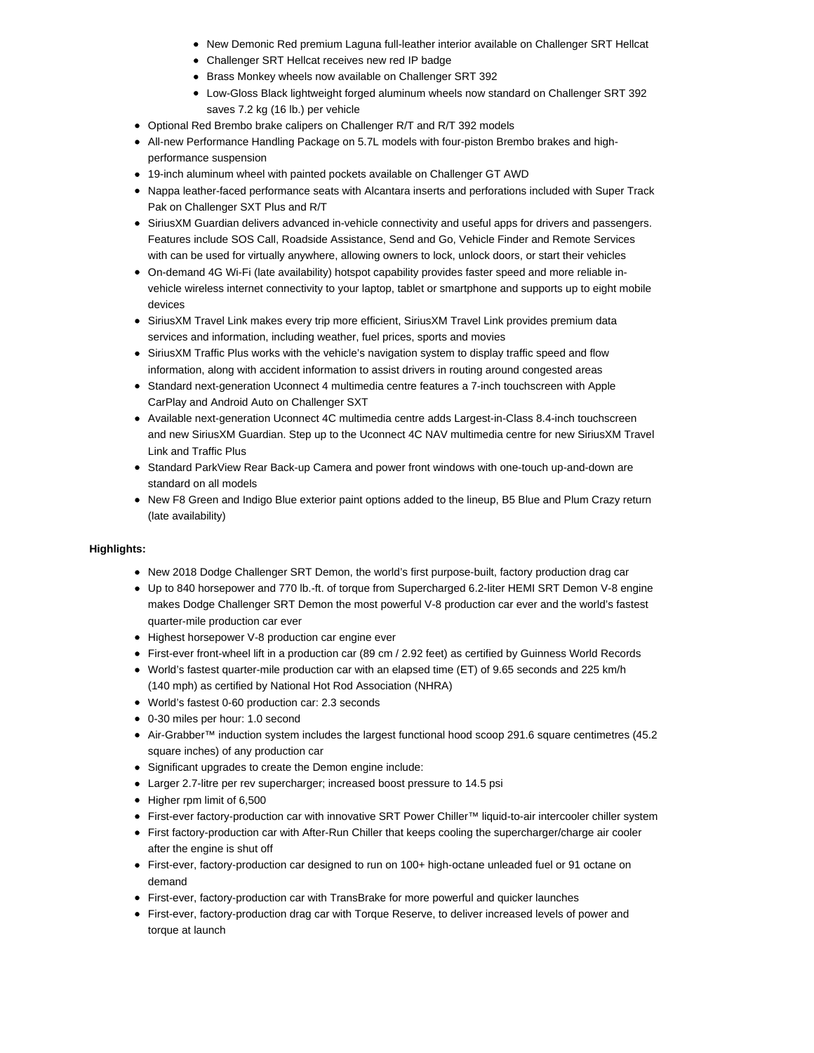- New Demonic Red premium Laguna full-leather interior available on Challenger SRT Hellcat
- Challenger SRT Hellcat receives new red IP badge
- Brass Monkey wheels now available on Challenger SRT 392
- Low-Gloss Black lightweight forged aluminum wheels now standard on Challenger SRT 392 saves 7.2 kg (16 lb.) per vehicle
- Optional Red Brembo brake calipers on Challenger R/T and R/T 392 models
- All-new Performance Handling Package on 5.7L models with four-piston Brembo brakes and highperformance suspension
- 19-inch aluminum wheel with painted pockets available on Challenger GT AWD
- Nappa leather-faced performance seats with Alcantara inserts and perforations included with Super Track Pak on Challenger SXT Plus and R/T
- SiriusXM Guardian delivers advanced in-vehicle connectivity and useful apps for drivers and passengers. Features include SOS Call, Roadside Assistance, Send and Go, Vehicle Finder and Remote Services with can be used for virtually anywhere, allowing owners to lock, unlock doors, or start their vehicles
- On-demand 4G Wi-Fi (late availability) hotspot capability provides faster speed and more reliable invehicle wireless internet connectivity to your laptop, tablet or smartphone and supports up to eight mobile devices
- SiriusXM Travel Link makes every trip more efficient, SiriusXM Travel Link provides premium data services and information, including weather, fuel prices, sports and movies
- SiriusXM Traffic Plus works with the vehicle's navigation system to display traffic speed and flow information, along with accident information to assist drivers in routing around congested areas
- Standard next-generation Uconnect 4 multimedia centre features a 7-inch touchscreen with Apple CarPlay and Android Auto on Challenger SXT
- Available next-generation Uconnect 4C multimedia centre adds Largest-in-Class 8.4-inch touchscreen and new SiriusXM Guardian. Step up to the Uconnect 4C NAV multimedia centre for new SiriusXM Travel Link and Traffic Plus
- Standard ParkView Rear Back-up Camera and power front windows with one-touch up-and-down are standard on all models
- New F8 Green and Indigo Blue exterior paint options added to the lineup, B5 Blue and Plum Crazy return (late availability)

# **Highlights:**

- New 2018 Dodge Challenger SRT Demon, the world's first purpose-built, factory production drag car
- Up to 840 horsepower and 770 lb.-ft. of torque from Supercharged 6.2-liter HEMI SRT Demon V-8 engine makes Dodge Challenger SRT Demon the most powerful V-8 production car ever and the world's fastest quarter-mile production car ever
- Highest horsepower V-8 production car engine ever
- First-ever front-wheel lift in a production car (89 cm / 2.92 feet) as certified by Guinness World Records
- World's fastest quarter-mile production car with an elapsed time (ET) of 9.65 seconds and 225 km/h (140 mph) as certified by National Hot Rod Association (NHRA)
- World's fastest 0-60 production car: 2.3 seconds
- 0-30 miles per hour: 1.0 second
- Air-Grabber™ induction system includes the largest functional hood scoop 291.6 square centimetres (45.2 square inches) of any production car
- Significant upgrades to create the Demon engine include:
- Larger 2.7-litre per rev supercharger; increased boost pressure to 14.5 psi
- Higher rpm limit of 6,500
- First-ever factory-production car with innovative SRT Power Chiller™ liquid-to-air intercooler chiller system
- First factory-production car with After-Run Chiller that keeps cooling the supercharger/charge air cooler after the engine is shut off
- First-ever, factory-production car designed to run on 100+ high-octane unleaded fuel or 91 octane on demand
- First-ever, factory-production car with TransBrake for more powerful and quicker launches
- First-ever, factory-production drag car with Torque Reserve, to deliver increased levels of power and torque at launch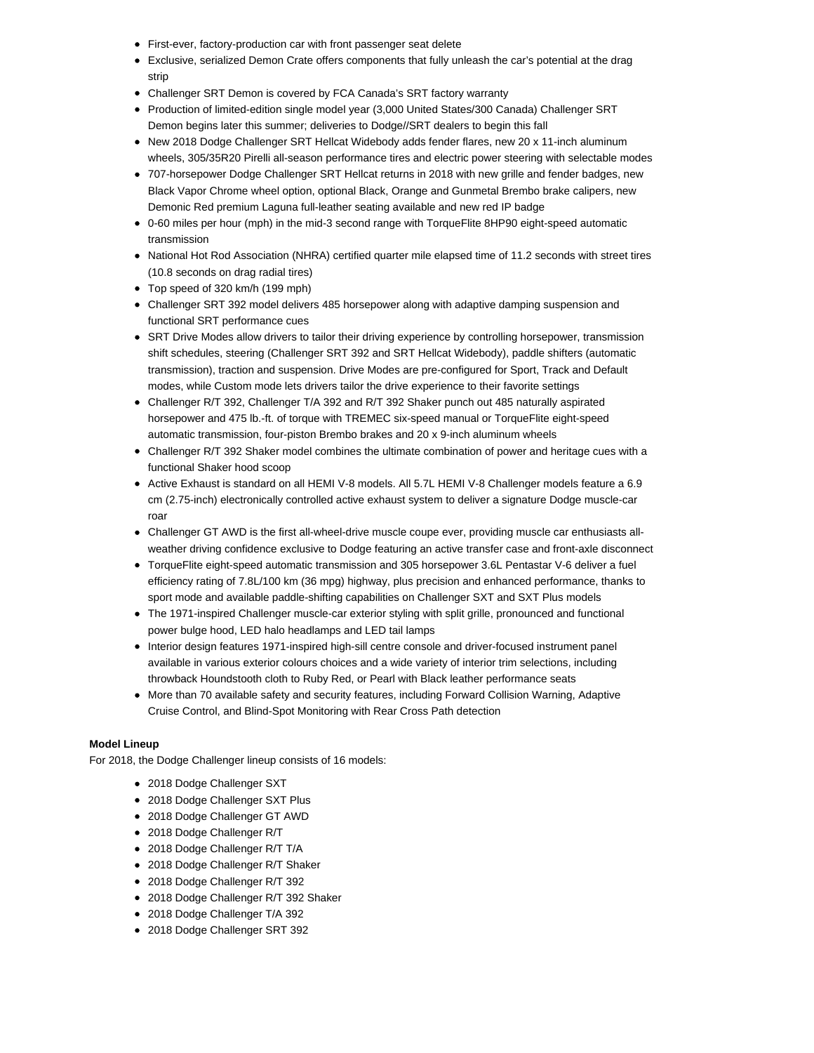- First-ever, factory-production car with front passenger seat delete
- Exclusive, serialized Demon Crate offers components that fully unleash the car's potential at the drag strip
- Challenger SRT Demon is covered by FCA Canada's SRT factory warranty
- Production of limited-edition single model year (3,000 United States/300 Canada) Challenger SRT Demon begins later this summer; deliveries to Dodge//SRT dealers to begin this fall
- New 2018 Dodge Challenger SRT Hellcat Widebody adds fender flares, new 20 x 11-inch aluminum wheels, 305/35R20 Pirelli all-season performance tires and electric power steering with selectable modes
- 707-horsepower Dodge Challenger SRT Hellcat returns in 2018 with new grille and fender badges, new Black Vapor Chrome wheel option, optional Black, Orange and Gunmetal Brembo brake calipers, new Demonic Red premium Laguna full-leather seating available and new red IP badge
- 0-60 miles per hour (mph) in the mid-3 second range with TorqueFlite 8HP90 eight-speed automatic transmission
- National Hot Rod Association (NHRA) certified quarter mile elapsed time of 11.2 seconds with street tires (10.8 seconds on drag radial tires)
- Top speed of 320 km/h (199 mph)
- Challenger SRT 392 model delivers 485 horsepower along with adaptive damping suspension and functional SRT performance cues
- SRT Drive Modes allow drivers to tailor their driving experience by controlling horsepower, transmission shift schedules, steering (Challenger SRT 392 and SRT Hellcat Widebody), paddle shifters (automatic transmission), traction and suspension. Drive Modes are pre-configured for Sport, Track and Default modes, while Custom mode lets drivers tailor the drive experience to their favorite settings
- Challenger R/T 392, Challenger T/A 392 and R/T 392 Shaker punch out 485 naturally aspirated horsepower and 475 lb.-ft. of torque with TREMEC six-speed manual or TorqueFlite eight-speed automatic transmission, four-piston Brembo brakes and 20 x 9-inch aluminum wheels
- Challenger R/T 392 Shaker model combines the ultimate combination of power and heritage cues with a functional Shaker hood scoop
- Active Exhaust is standard on all HEMI V-8 models. All 5.7L HEMI V-8 Challenger models feature a 6.9 cm (2.75-inch) electronically controlled active exhaust system to deliver a signature Dodge muscle-car roar
- Challenger GT AWD is the first all-wheel-drive muscle coupe ever, providing muscle car enthusiasts allweather driving confidence exclusive to Dodge featuring an active transfer case and front-axle disconnect
- TorqueFlite eight-speed automatic transmission and 305 horsepower 3.6L Pentastar V-6 deliver a fuel efficiency rating of 7.8L/100 km (36 mpg) highway, plus precision and enhanced performance, thanks to sport mode and available paddle-shifting capabilities on Challenger SXT and SXT Plus models
- The 1971-inspired Challenger muscle-car exterior styling with split grille, pronounced and functional power bulge hood, LED halo headlamps and LED tail lamps
- Interior design features 1971-inspired high-sill centre console and driver-focused instrument panel available in various exterior colours choices and a wide variety of interior trim selections, including throwback Houndstooth cloth to Ruby Red, or Pearl with Black leather performance seats
- More than 70 available safety and security features, including Forward Collision Warning, Adaptive Cruise Control, and Blind-Spot Monitoring with Rear Cross Path detection

## **Model Lineup**

For 2018, the Dodge Challenger lineup consists of 16 models:

- 2018 Dodge Challenger SXT
- 2018 Dodge Challenger SXT Plus
- 2018 Dodge Challenger GT AWD
- 2018 Dodge Challenger R/T
- 2018 Dodge Challenger R/T T/A
- 2018 Dodge Challenger R/T Shaker
- 2018 Dodge Challenger R/T 392
- 2018 Dodge Challenger R/T 392 Shaker
- 2018 Dodge Challenger T/A 392
- 2018 Dodge Challenger SRT 392